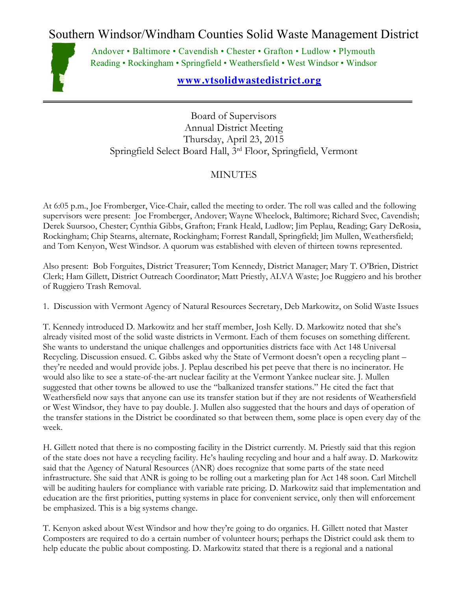Southern Windsor/Windham Counties Solid Waste Management District



Andover • Baltimore • Cavendish • Chester • Grafton • Ludlow • Plymouth Reading • Rockingham • Springfield • Weathersfield • West Windsor • Windsor

## **[www.vtsolidwastedistrict.org](http://www.vtsolidwastedistrict.org/)**

Board of Supervisors Annual District Meeting Thursday, April 23, 2015 Springfield Select Board Hall, 3rd Floor, Springfield, Vermont

## MINUTES

At 6:05 p.m., Joe Fromberger, Vice-Chair, called the meeting to order. The roll was called and the following supervisors were present: Joe Fromberger, Andover; Wayne Wheelock, Baltimore; Richard Svec, Cavendish; Derek Suursoo, Chester; Cynthia Gibbs, Grafton; Frank Heald, Ludlow; Jim Peplau, Reading; Gary DeRosia, Rockingham; Chip Stearns, alternate, Rockingham; Forrest Randall, Springfield; Jim Mullen, Weathersfield; and Tom Kenyon, West Windsor. A quorum was established with eleven of thirteen towns represented.

Also present: Bob Forguites, District Treasurer; Tom Kennedy, District Manager; Mary T. O'Brien, District Clerk; Ham Gillett, District Outreach Coordinator; Matt Priestly, ALVA Waste; Joe Ruggiero and his brother of Ruggiero Trash Removal.

1. Discussion with Vermont Agency of Natural Resources Secretary, Deb Markowitz, on Solid Waste Issues

T. Kennedy introduced D. Markowitz and her staff member, Josh Kelly. D. Markowitz noted that she's already visited most of the solid waste districts in Vermont. Each of them focuses on something different. She wants to understand the unique challenges and opportunities districts face with Act 148 Universal Recycling. Discussion ensued. C. Gibbs asked why the State of Vermont doesn't open a recycling plant – they're needed and would provide jobs. J. Peplau described his pet peeve that there is no incinerator. He would also like to see a state-of-the-art nuclear facility at the Vermont Yankee nuclear site. J. Mullen suggested that other towns be allowed to use the "balkanized transfer stations." He cited the fact that Weathersfield now says that anyone can use its transfer station but if they are not residents of Weathersfield or West Windsor, they have to pay double. J. Mullen also suggested that the hours and days of operation of the transfer stations in the District be coordinated so that between them, some place is open every day of the week.

H. Gillett noted that there is no composting facility in the District currently. M. Priestly said that this region of the state does not have a recycling facility. He's hauling recycling and hour and a half away. D. Markowitz said that the Agency of Natural Resources (ANR) does recognize that some parts of the state need infrastructure. She said that ANR is going to be rolling out a marketing plan for Act 148 soon. Carl Mitchell will be auditing haulers for compliance with variable rate pricing. D. Markowitz said that implementation and education are the first priorities, putting systems in place for convenient service, only then will enforcement be emphasized. This is a big systems change.

T. Kenyon asked about West Windsor and how they're going to do organics. H. Gillett noted that Master Composters are required to do a certain number of volunteer hours; perhaps the District could ask them to help educate the public about composting. D. Markowitz stated that there is a regional and a national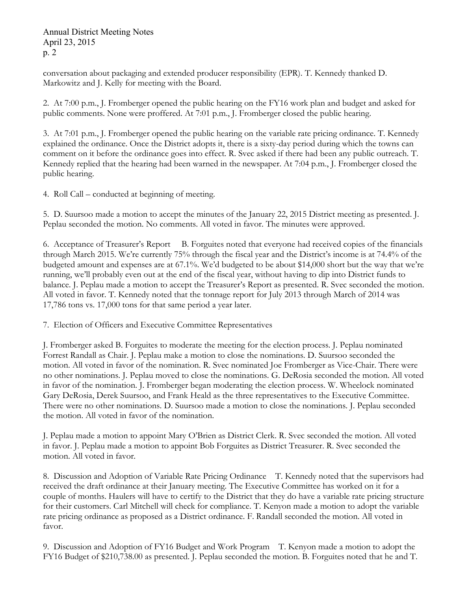Annual District Meeting Notes April 23, 2015 p. 2

conversation about packaging and extended producer responsibility (EPR). T. Kennedy thanked D. Markowitz and J. Kelly for meeting with the Board.

2. At 7:00 p.m., J. Fromberger opened the public hearing on the FY16 work plan and budget and asked for public comments. None were proffered. At 7:01 p.m., J. Fromberger closed the public hearing.

3. At 7:01 p.m., J. Fromberger opened the public hearing on the variable rate pricing ordinance. T. Kennedy explained the ordinance. Once the District adopts it, there is a sixty-day period during which the towns can comment on it before the ordinance goes into effect. R. Svec asked if there had been any public outreach. T. Kennedy replied that the hearing had been warned in the newspaper. At 7:04 p.m., J. Fromberger closed the public hearing.

4. Roll Call – conducted at beginning of meeting.

5. D. Suursoo made a motion to accept the minutes of the January 22, 2015 District meeting as presented. J. Peplau seconded the motion. No comments. All voted in favor. The minutes were approved.

6. Acceptance of Treasurer's Report B. Forguites noted that everyone had received copies of the financials through March 2015. We're currently 75% through the fiscal year and the District's income is at 74.4% of the budgeted amount and expenses are at 67.1%. We'd budgeted to be about \$14,000 short but the way that we're running, we'll probably even out at the end of the fiscal year, without having to dip into District funds to balance. J. Peplau made a motion to accept the Treasurer's Report as presented. R. Svec seconded the motion. All voted in favor. T. Kennedy noted that the tonnage report for July 2013 through March of 2014 was 17,786 tons vs. 17,000 tons for that same period a year later.

7. Election of Officers and Executive Committee Representatives

J. Fromberger asked B. Forguites to moderate the meeting for the election process. J. Peplau nominated Forrest Randall as Chair. J. Peplau make a motion to close the nominations. D. Suursoo seconded the motion. All voted in favor of the nomination. R. Svec nominated Joe Fromberger as Vice-Chair. There were no other nominations. J. Peplau moved to close the nominations. G. DeRosia seconded the motion. All voted in favor of the nomination. J. Fromberger began moderating the election process. W. Wheelock nominated Gary DeRosia, Derek Suursoo, and Frank Heald as the three representatives to the Executive Committee. There were no other nominations. D. Suursoo made a motion to close the nominations. J. Peplau seconded the motion. All voted in favor of the nomination.

J. Peplau made a motion to appoint Mary O'Brien as District Clerk. R. Svec seconded the motion. All voted in favor. J. Peplau made a motion to appoint Bob Forguites as District Treasurer. R. Svec seconded the motion. All voted in favor.

8. Discussion and Adoption of Variable Rate Pricing Ordinance T. Kennedy noted that the supervisors had received the draft ordinance at their January meeting. The Executive Committee has worked on it for a couple of months. Haulers will have to certify to the District that they do have a variable rate pricing structure for their customers. Carl Mitchell will check for compliance. T. Kenyon made a motion to adopt the variable rate pricing ordinance as proposed as a District ordinance. F. Randall seconded the motion. All voted in favor.

9. Discussion and Adoption of FY16 Budget and Work Program T. Kenyon made a motion to adopt the FY16 Budget of \$210,738.00 as presented. J. Peplau seconded the motion. B. Forguites noted that he and T.